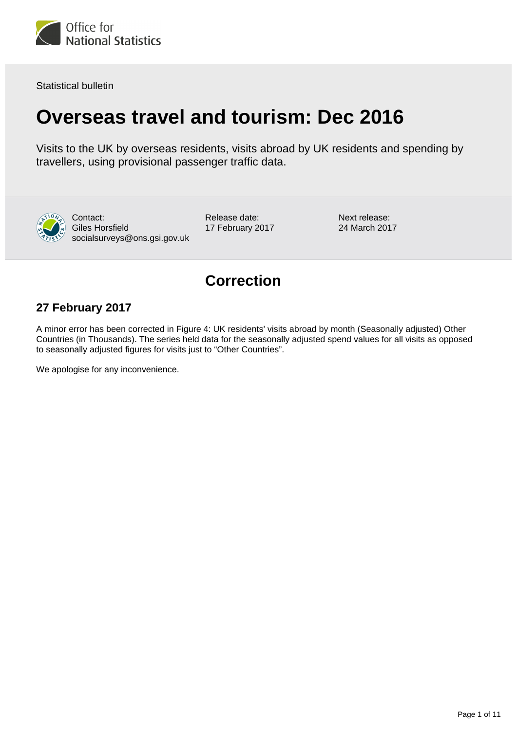

Statistical bulletin

# **Overseas travel and tourism: Dec 2016**

Visits to the UK by overseas residents, visits abroad by UK residents and spending by travellers, using provisional passenger traffic data.



Contact: Giles Horsfield socialsurveys@ons.gsi.gov.uk Release date: 17 February 2017 Next release: 24 March 2017

## **Correction**

### **27 February 2017**

A minor error has been corrected in Figure 4: UK residents' visits abroad by month (Seasonally adjusted) Other Countries (in Thousands). The series held data for the seasonally adjusted spend values for all visits as opposed to seasonally adjusted figures for visits just to "Other Countries".

We apologise for any inconvenience.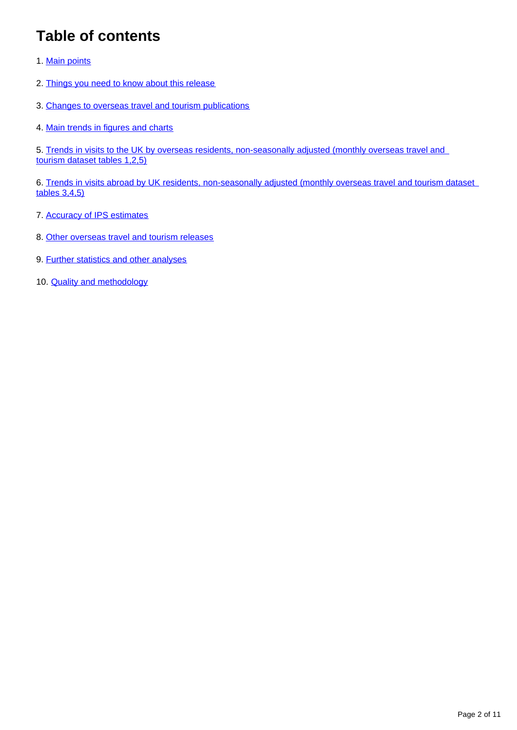## **Table of contents**

- 1. [Main points](#page-2-0)
- 2. [Things you need to know about this release](#page-2-1)
- 3. [Changes to overseas travel and tourism publications](#page-3-0)
- 4. [Main trends in figures and charts](#page-3-1)

5. Trends in visits to the UK by overseas residents, non-seasonally adjusted (monthly overseas travel and [tourism dataset tables 1,2,5\)](#page-5-0)

6. Trends in visits abroad by UK residents, non-seasonally adjusted (monthly overseas travel and tourism dataset [tables 3,4,5\)](#page-6-0)

- 7. [Accuracy of IPS estimates](#page-7-0)
- 8. [Other overseas travel and tourism releases](#page-9-0)
- 9. [Further statistics and other analyses](#page-9-1)
- 10. **[Quality and methodology](#page-10-0)**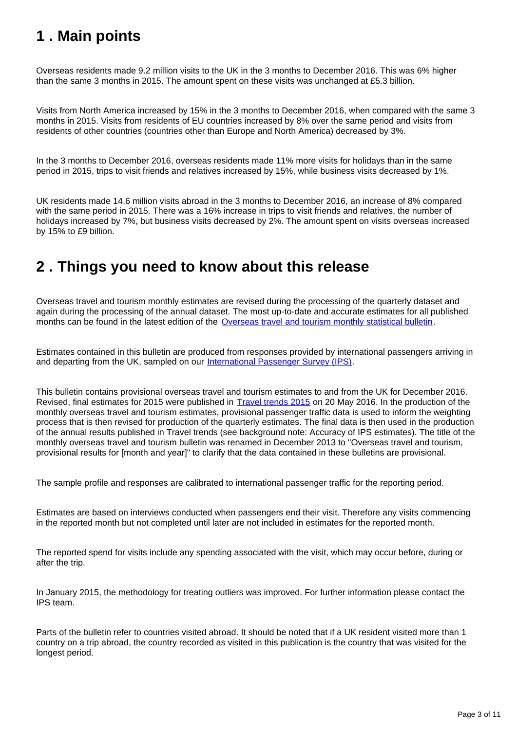## <span id="page-2-0"></span>**1 . Main points**

Overseas residents made 9.2 million visits to the UK in the 3 months to December 2016. This was 6% higher than the same 3 months in 2015. The amount spent on these visits was unchanged at £5.3 billion.

Visits from North America increased by 15% in the 3 months to December 2016, when compared with the same 3 months in 2015. Visits from residents of EU countries increased by 8% over the same period and visits from residents of other countries (countries other than Europe and North America) decreased by 3%.

In the 3 months to December 2016, overseas residents made 11% more visits for holidays than in the same period in 2015, trips to visit friends and relatives increased by 15%, while business visits decreased by 1%.

UK residents made 14.6 million visits abroad in the 3 months to December 2016, an increase of 8% compared with the same period in 2015. There was a 16% increase in trips to visit friends and relatives, the number of holidays increased by 7%, but business visits decreased by 2%. The amount spent on visits overseas increased by 15% to £9 billion.

### <span id="page-2-1"></span>**2 . Things you need to know about this release**

Overseas travel and tourism monthly estimates are revised during the processing of the quarterly dataset and again during the processing of the annual dataset. The most up-to-date and accurate estimates for all published months can be found in the latest edition of the [Overseas travel and tourism monthly statistical bulletin](http://www.ons.gov.uk/peoplepopulationandcommunity/leisureandtourism/bulletins/overseastravelandtourism/previousReleases).

Estimates contained in this bulletin are produced from responses provided by international passengers arriving in and departing from the UK, sampled on our [International Passenger Survey \(IPS\).](http://www.ons.gov.uk/peoplepopulationandcommunity/leisureandtourism/qmis/internationalpassengersurveyipsqmi)

This bulletin contains provisional overseas travel and tourism estimates to and from the UK for December 2016. Revised, final estimates for 2015 were published in [Travel trends 2015](https://www.ons.gov.uk/releases/traveltrends2015) on 20 May 2016. In the production of the monthly overseas travel and tourism estimates, provisional passenger traffic data is used to inform the weighting process that is then revised for production of the quarterly estimates. The final data is then used in the production of the annual results published in Travel trends (see background note: Accuracy of IPS estimates). The title of the monthly overseas travel and tourism bulletin was renamed in December 2013 to "Overseas travel and tourism, provisional results for [month and year]" to clarify that the data contained in these bulletins are provisional.

The sample profile and responses are calibrated to international passenger traffic for the reporting period.

Estimates are based on interviews conducted when passengers end their visit. Therefore any visits commencing in the reported month but not completed until later are not included in estimates for the reported month.

The reported spend for visits include any spending associated with the visit, which may occur before, during or after the trip.

In January 2015, the methodology for treating outliers was improved. For further information please contact the IPS team.

Parts of the bulletin refer to countries visited abroad. It should be noted that if a UK resident visited more than 1 country on a trip abroad, the country recorded as visited in this publication is the country that was visited for the longest period.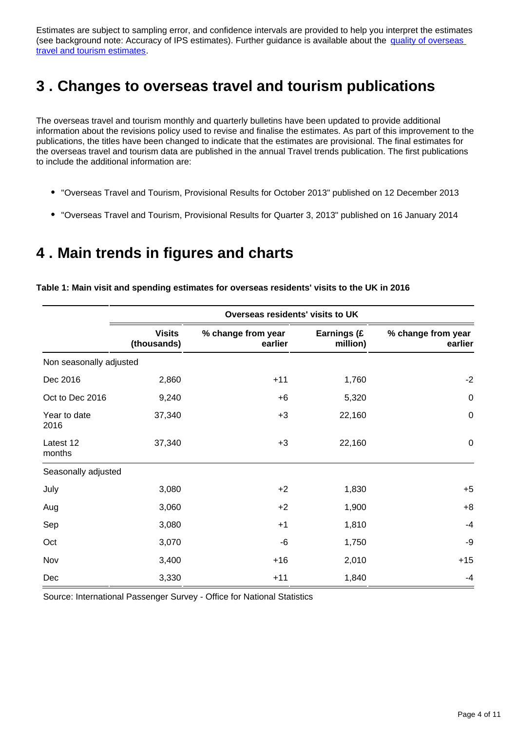Estimates are subject to sampling error, and confidence intervals are provided to help you interpret the estimates (see background note: Accuracy of IPS estimates). Further guidance is available about the quality of overseas [travel and tourism estimates](http://www.ons.gov.uk/peoplepopulationandcommunity/leisureandtourism/qmis/internationalpassengersurveyipsqmi).

## <span id="page-3-0"></span>**3 . Changes to overseas travel and tourism publications**

The overseas travel and tourism monthly and quarterly bulletins have been updated to provide additional information about the revisions policy used to revise and finalise the estimates. As part of this improvement to the publications, the titles have been changed to indicate that the estimates are provisional. The final estimates for the overseas travel and tourism data are published in the annual Travel trends publication. The first publications to include the additional information are:

- "Overseas Travel and Tourism, Provisional Results for October 2013" published on 12 December 2013
- "Overseas Travel and Tourism, Provisional Results for Quarter 3, 2013" published on 16 January 2014

### <span id="page-3-1"></span>**4 . Main trends in figures and charts**

**Table 1: Main visit and spending estimates for overseas residents' visits to the UK in 2016**

|                         | Overseas residents' visits to UK |                               |                         |                               |  |
|-------------------------|----------------------------------|-------------------------------|-------------------------|-------------------------------|--|
|                         | <b>Visits</b><br>(thousands)     | % change from year<br>earlier | Earnings (£<br>million) | % change from year<br>earlier |  |
| Non seasonally adjusted |                                  |                               |                         |                               |  |
| Dec 2016                | 2,860                            | $+11$                         | 1,760                   | $-2$                          |  |
| Oct to Dec 2016         | 9,240                            | $+6$                          | 5,320                   | $\pmb{0}$                     |  |
| Year to date<br>2016    | 37,340                           | $+3$                          | 22,160                  | $\pmb{0}$                     |  |
| Latest 12<br>months     | 37,340                           | $+3$                          | 22,160                  | $\pmb{0}$                     |  |
| Seasonally adjusted     |                                  |                               |                         |                               |  |
| July                    | 3,080                            | $+2$                          | 1,830                   | $+5$                          |  |
| Aug                     | 3,060                            | $+2$                          | 1,900                   | $+8$                          |  |
| Sep                     | 3,080                            | $+1$                          | 1,810                   | $-4$                          |  |
| Oct                     | 3,070                            | -6                            | 1,750                   | -9                            |  |
| Nov                     | 3,400                            | $+16$                         | 2,010                   | $+15$                         |  |
| Dec                     | 3,330                            | $+11$                         | 1,840                   | $-4$                          |  |

Source: International Passenger Survey - Office for National Statistics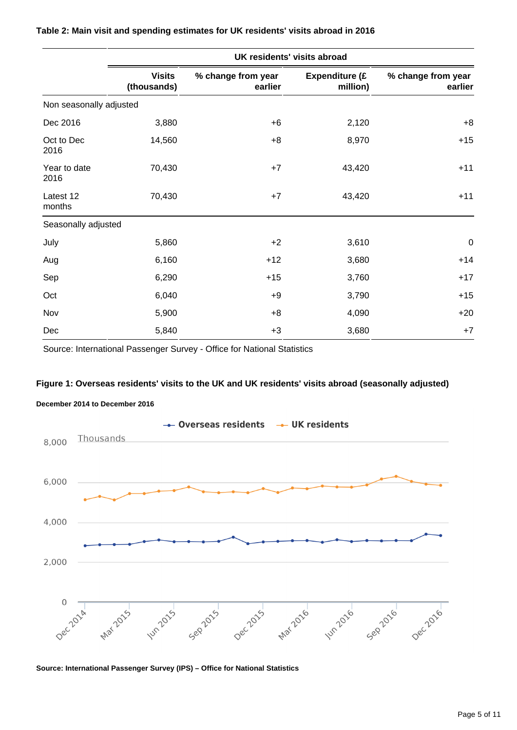|                         | UK residents' visits abroad  |                               |                                   |                               |  |
|-------------------------|------------------------------|-------------------------------|-----------------------------------|-------------------------------|--|
|                         | <b>Visits</b><br>(thousands) | % change from year<br>earlier | <b>Expenditure (£</b><br>million) | % change from year<br>earlier |  |
| Non seasonally adjusted |                              |                               |                                   |                               |  |
| Dec 2016                | 3,880                        | $+6$                          | 2,120                             | $+8$                          |  |
| Oct to Dec<br>2016      | 14,560                       | $+8$                          | 8,970                             | $+15$                         |  |
| Year to date<br>2016    | 70,430                       | $+7$                          | 43,420                            | $+11$                         |  |
| Latest 12<br>months     | 70,430                       | $+7$                          | 43,420                            | $+11$                         |  |
| Seasonally adjusted     |                              |                               |                                   |                               |  |
| July                    | 5,860                        | $+2$                          | 3,610                             | $\pmb{0}$                     |  |
| Aug                     | 6,160                        | $+12$                         | 3,680                             | $+14$                         |  |
| Sep                     | 6,290                        | $+15$                         | 3,760                             | $+17$                         |  |
| Oct                     | 6,040                        | $+9$                          | 3,790                             | $+15$                         |  |
| Nov                     | 5,900                        | $+8$                          | 4,090                             | $+20$                         |  |
| Dec                     | 5,840                        | $+3$                          | 3,680                             | $+7$                          |  |

#### **Table 2: Main visit and spending estimates for UK residents' visits abroad in 2016**

Source: International Passenger Survey - Office for National Statistics

#### **Figure 1: Overseas residents' visits to the UK and UK residents' visits abroad (seasonally adjusted)**





**Source: International Passenger Survey (IPS) – Office for National Statistics**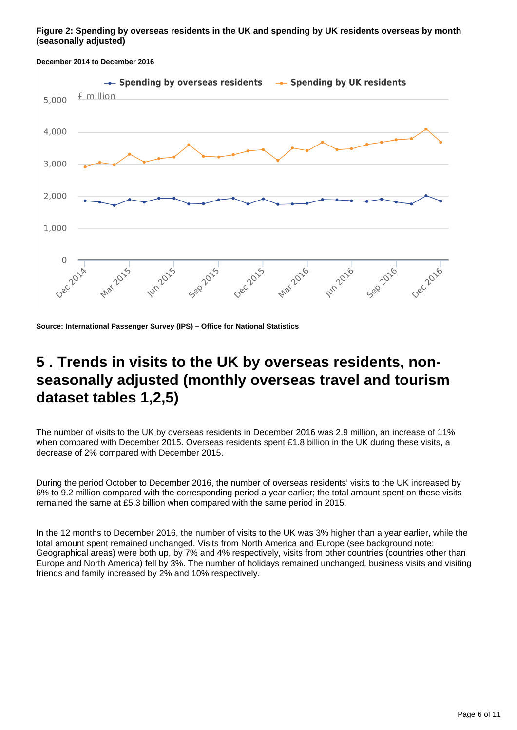#### **Figure 2: Spending by overseas residents in the UK and spending by UK residents overseas by month (seasonally adjusted)**



#### **December 2014 to December 2016**

**Source: International Passenger Survey (IPS) – Office for National Statistics**

### <span id="page-5-0"></span>**5 . Trends in visits to the UK by overseas residents, nonseasonally adjusted (monthly overseas travel and tourism dataset tables 1,2,5)**

The number of visits to the UK by overseas residents in December 2016 was 2.9 million, an increase of 11% when compared with December 2015. Overseas residents spent £1.8 billion in the UK during these visits, a decrease of 2% compared with December 2015.

During the period October to December 2016, the number of overseas residents' visits to the UK increased by 6% to 9.2 million compared with the corresponding period a year earlier; the total amount spent on these visits remained the same at £5.3 billion when compared with the same period in 2015.

In the 12 months to December 2016, the number of visits to the UK was 3% higher than a year earlier, while the total amount spent remained unchanged. Visits from North America and Europe (see background note: Geographical areas) were both up, by 7% and 4% respectively, visits from other countries (countries other than Europe and North America) fell by 3%. The number of holidays remained unchanged, business visits and visiting friends and family increased by 2% and 10% respectively.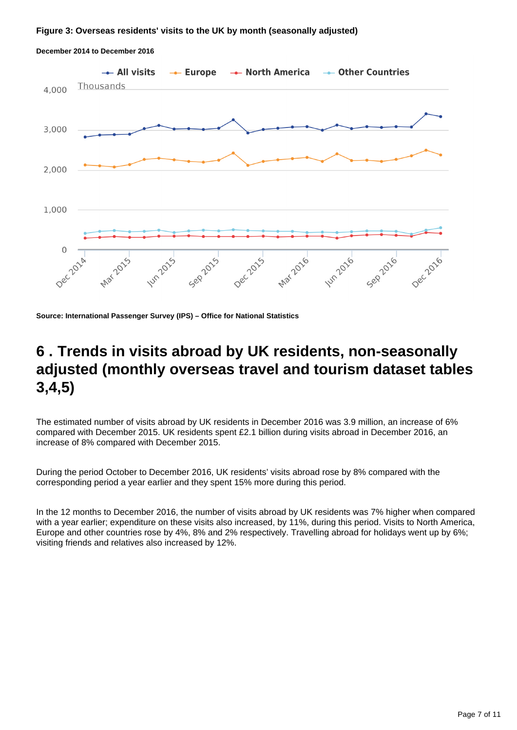#### **Figure 3: Overseas residents' visits to the UK by month (seasonally adjusted)**



**December 2014 to December 2016**

**Source: International Passenger Survey (IPS) – Office for National Statistics**

### <span id="page-6-0"></span>**6 . Trends in visits abroad by UK residents, non-seasonally adjusted (monthly overseas travel and tourism dataset tables 3,4,5)**

The estimated number of visits abroad by UK residents in December 2016 was 3.9 million, an increase of 6% compared with December 2015. UK residents spent £2.1 billion during visits abroad in December 2016, an increase of 8% compared with December 2015.

During the period October to December 2016, UK residents' visits abroad rose by 8% compared with the corresponding period a year earlier and they spent 15% more during this period.

In the 12 months to December 2016, the number of visits abroad by UK residents was 7% higher when compared with a year earlier; expenditure on these visits also increased, by 11%, during this period. Visits to North America, Europe and other countries rose by 4%, 8% and 2% respectively. Travelling abroad for holidays went up by 6%; visiting friends and relatives also increased by 12%.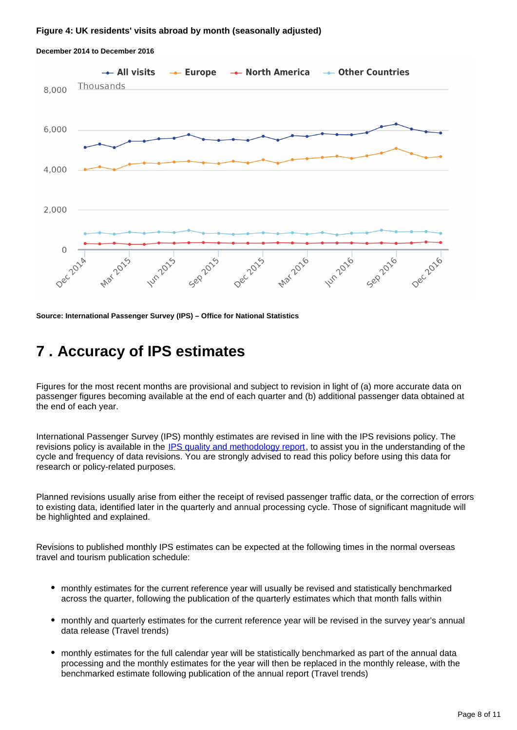#### **Figure 4: UK residents' visits abroad by month (seasonally adjusted)**



#### **December 2014 to December 2016**

**Source: International Passenger Survey (IPS) – Office for National Statistics**

### <span id="page-7-0"></span>**7 . Accuracy of IPS estimates**

Figures for the most recent months are provisional and subject to revision in light of (a) more accurate data on passenger figures becoming available at the end of each quarter and (b) additional passenger data obtained at the end of each year.

International Passenger Survey (IPS) monthly estimates are revised in line with the IPS revisions policy. The revisions policy is available in the [IPS quality and methodology report](http://www.ons.gov.uk/peoplepopulationandcommunity/leisureandtourism/qmis/internationalpassengersurveyipsqmi), to assist you in the understanding of the cycle and frequency of data revisions. You are strongly advised to read this policy before using this data for research or policy-related purposes.

Planned revisions usually arise from either the receipt of revised passenger traffic data, or the correction of errors to existing data, identified later in the quarterly and annual processing cycle. Those of significant magnitude will be highlighted and explained.

Revisions to published monthly IPS estimates can be expected at the following times in the normal overseas travel and tourism publication schedule:

- monthly estimates for the current reference year will usually be revised and statistically benchmarked across the quarter, following the publication of the quarterly estimates which that month falls within
- monthly and quarterly estimates for the current reference year will be revised in the survey year's annual data release (Travel trends)
- monthly estimates for the full calendar year will be statistically benchmarked as part of the annual data processing and the monthly estimates for the year will then be replaced in the monthly release, with the benchmarked estimate following publication of the annual report (Travel trends)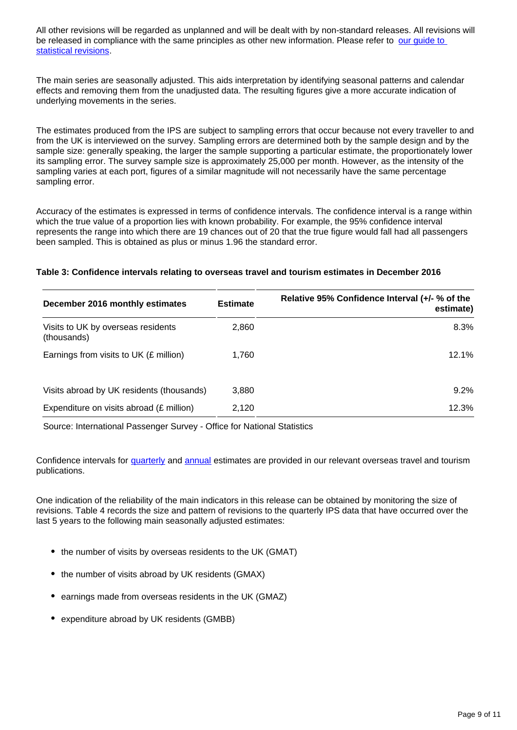All other revisions will be regarded as unplanned and will be dealt with by non-standard releases. All revisions will be released in compliance with the same principles as other new information. Please refer to our quide to [statistical revisions](http://www.ons.gov.uk/ons/guide-method/revisions/guide-to-statistical-revisions/index.html).

The main series are seasonally adjusted. This aids interpretation by identifying seasonal patterns and calendar effects and removing them from the unadjusted data. The resulting figures give a more accurate indication of underlying movements in the series.

The estimates produced from the IPS are subject to sampling errors that occur because not every traveller to and from the UK is interviewed on the survey. Sampling errors are determined both by the sample design and by the sample size: generally speaking, the larger the sample supporting a particular estimate, the proportionately lower its sampling error. The survey sample size is approximately 25,000 per month. However, as the intensity of the sampling varies at each port, figures of a similar magnitude will not necessarily have the same percentage sampling error.

Accuracy of the estimates is expressed in terms of confidence intervals. The confidence interval is a range within which the true value of a proportion lies with known probability. For example, the 95% confidence interval represents the range into which there are 19 chances out of 20 that the true figure would fall had all passengers been sampled. This is obtained as plus or minus 1.96 the standard error.

#### **Table 3: Confidence intervals relating to overseas travel and tourism estimates in December 2016**

| December 2016 monthly estimates                   | <b>Estimate</b> | Relative 95% Confidence Interval (+/- % of the<br>estimate) |
|---------------------------------------------------|-----------------|-------------------------------------------------------------|
| Visits to UK by overseas residents<br>(thousands) | 2,860           | 8.3%                                                        |
| Earnings from visits to UK (£ million)            | 1,760           | 12.1%                                                       |
| Visits abroad by UK residents (thousands)         | 3.880           | 9.2%                                                        |
| Expenditure on visits abroad (£ million)          | 2,120           | 12.3%                                                       |

Source: International Passenger Survey - Office for National Statistics

Confidence intervals for [quarterly](http://www.ons.gov.uk/peoplepopulationandcommunity/leisureandtourism/articles/overseastravelandtourismprovisionalresults/previousReleases) and [annual](http://www.ons.gov.uk/peoplepopulationandcommunity/leisureandtourism/articles/traveltrends/previousReleases) estimates are provided in our relevant overseas travel and tourism publications.

One indication of the reliability of the main indicators in this release can be obtained by monitoring the size of revisions. Table 4 records the size and pattern of revisions to the quarterly IPS data that have occurred over the last 5 years to the following main seasonally adjusted estimates:

- the number of visits by overseas residents to the UK (GMAT)
- the number of visits abroad by UK residents (GMAX)
- earnings made from overseas residents in the UK (GMAZ)
- expenditure abroad by UK residents (GMBB)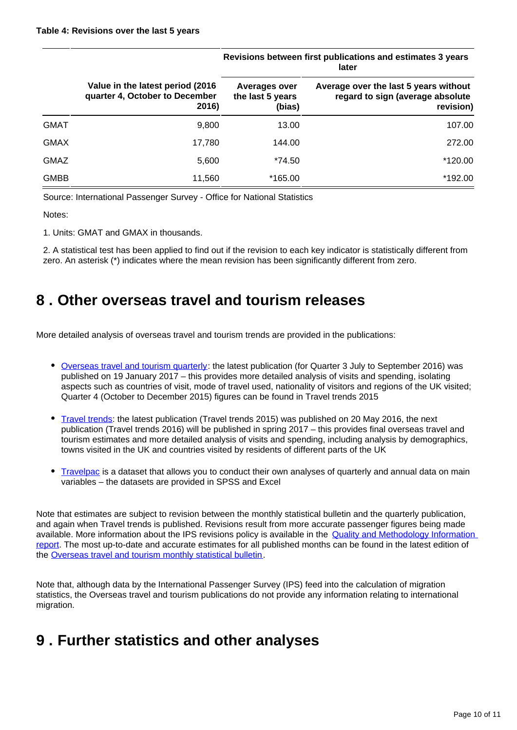|             |                                                                              | Revisions between inst publications and estimates 5 years<br>later |                                                                                        |  |
|-------------|------------------------------------------------------------------------------|--------------------------------------------------------------------|----------------------------------------------------------------------------------------|--|
|             | Value in the latest period (2016)<br>quarter 4, October to December<br>2016) | <b>Averages over</b><br>the last 5 years<br>(bias)                 | Average over the last 5 years without<br>regard to sign (average absolute<br>revision) |  |
| <b>GMAT</b> | 9,800                                                                        | 13.00                                                              | 107.00                                                                                 |  |
| <b>GMAX</b> | 17,780                                                                       | 144.00                                                             | 272.00                                                                                 |  |
| <b>GMAZ</b> | 5,600                                                                        | *74.50                                                             | *120.00                                                                                |  |
| <b>GMBB</b> | 11,560                                                                       | *165.00                                                            | *192.00                                                                                |  |

**Revisions between first publications and estimates 3 years** 

Source: International Passenger Survey - Office for National Statistics

Notes:

1. Units: GMAT and GMAX in thousands.

2. A statistical test has been applied to find out if the revision to each key indicator is statistically different from zero. An asterisk (\*) indicates where the mean revision has been significantly different from zero.

### <span id="page-9-0"></span>**8 . Other overseas travel and tourism releases**

More detailed analysis of overseas travel and tourism trends are provided in the publications:

- [Overseas travel and tourism quarterly](http://www.ons.gov.uk/peoplepopulationandcommunity/leisureandtourism/articles/overseastravelandtourismprovisionalresults/previousReleases): the latest publication (for Quarter 3 July to September 2016) was published on 19 January 2017 – this provides more detailed analysis of visits and spending, isolating aspects such as countries of visit, mode of travel used, nationality of visitors and regions of the UK visited; Quarter 4 (October to December 2015) figures can be found in Travel trends 2015
- [Travel trends:](http://www.ons.gov.uk/peoplepopulationandcommunity/leisureandtourism/articles/traveltrends/previousReleases) the latest publication (Travel trends 2015) was published on 20 May 2016, the next publication (Travel trends 2016) will be published in spring 2017 – this provides final overseas travel and tourism estimates and more detailed analysis of visits and spending, including analysis by demographics, towns visited in the UK and countries visited by residents of different parts of the UK
- [Travelpac](http://www.ons.gov.uk/peoplepopulationandcommunity/leisureandtourism/datasets/travelpac) is a dataset that allows you to conduct their own analyses of quarterly and annual data on main variables – the datasets are provided in SPSS and Excel

Note that estimates are subject to revision between the monthly statistical bulletin and the quarterly publication, and again when Travel trends is published. Revisions result from more accurate passenger figures being made available. More information about the IPS revisions policy is available in the **Quality and Methodology Information** [report](http://www.ons.gov.uk/peoplepopulationandcommunity/leisureandtourism/qmis/internationalpassengersurveyipsqmi). The most up-to-date and accurate estimates for all published months can be found in the latest edition of the [Overseas travel and tourism monthly statistical bulletin.](http://www.ons.gov.uk/peoplepopulationandcommunity/leisureandtourism/bulletins/overseastravelandtourism/previousReleases)

Note that, although data by the International Passenger Survey (IPS) feed into the calculation of migration statistics, the Overseas travel and tourism publications do not provide any information relating to international migration.

### <span id="page-9-1"></span>**9 . Further statistics and other analyses**